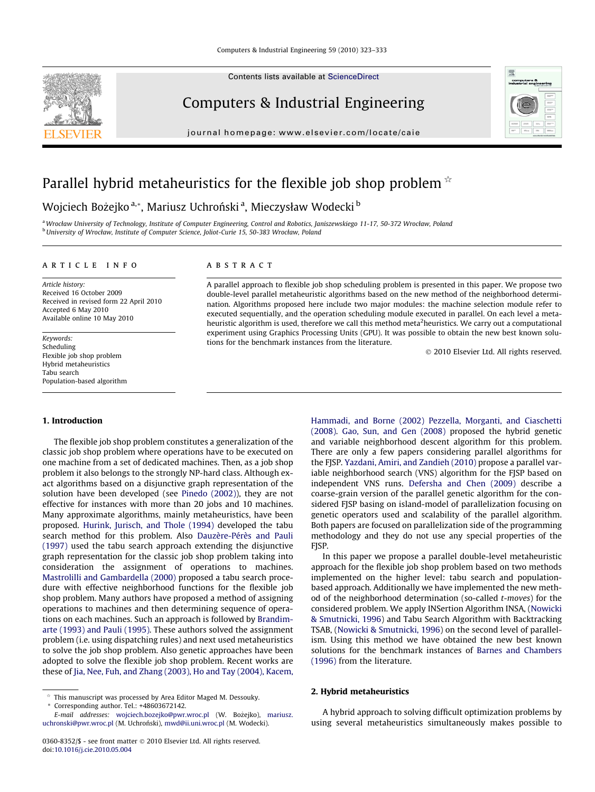

Contents lists available at [ScienceDirect](http://www.sciencedirect.com/science/journal/03608352)

## Computers & Industrial Engineering

journal homepage: [www.elsevier.com/locate/caie](http://www.elsevier.com/locate/caie)



# Parallel hybrid metaheuristics for the flexible job shop problem  $\dot{\phi}$

### Wojciech Bożejko <sup>a,</sup>\*, Mariusz Uchroński <sup>a</sup>, Mieczysław Wodecki <sup>b</sup>

a Wrocław University of Technology, Institute of Computer Engineering, Control and Robotics, Janiszewskiego 11-17, 50-372 Wrocław, Poland <sup>b</sup> University of Wrocław, Institute of Computer Science, Joliot-Curie 15, 50-383 Wrocław, Poland

#### article info

Article history: Received 16 October 2009 Received in revised form 22 April 2010 Accepted 6 May 2010 Available online 10 May 2010

Keywords: Scheduling Flexible job shop problem Hybrid metaheuristics Tabu search Population-based algorithm

#### 1. Introduction

The flexible job shop problem constitutes a generalization of the classic job shop problem where operations have to be executed on one machine from a set of dedicated machines. Then, as a job shop problem it also belongs to the strongly NP-hard class. Although exact algorithms based on a disjunctive graph representation of the solution have been developed (see Pinedo (2002)), they are not effective for instances with more than 20 jobs and 10 machines. Many approximate algorithms, mainly metaheuristics, have been proposed. [Hurink, Jurisch, and Thole \(1994\)](#page--1-0) developed the tabu search method for this problem. Also [Dauzère-Pérès and Pauli](#page--1-0) [\(1997\)](#page--1-0) used the tabu search approach extending the disjunctive graph representation for the classic job shop problem taking into consideration the assignment of operations to machines. [Mastrolilli and Gambardella \(2000\)](#page--1-0) proposed a tabu search procedure with effective neighborhood functions for the flexible job shop problem. Many authors have proposed a method of assigning operations to machines and then determining sequence of operations on each machines. Such an approach is followed by [Brandim](#page--1-0)[arte \(1993\) and Pauli \(1995\).](#page--1-0) These authors solved the assignment problem (i.e. using dispatching rules) and next used metaheuristics to solve the job shop problem. Also genetic approaches have been adopted to solve the flexible job shop problem. Recent works are these of [Jia, Nee, Fuh, and Zhang \(2003\), Ho and Tay \(2004\), Kacem,](#page--1-0)

#### **ABSTRACT**

A parallel approach to flexible job shop scheduling problem is presented in this paper. We propose two double-level parallel metaheuristic algorithms based on the new method of the neighborhood determination. Algorithms proposed here include two major modules: the machine selection module refer to executed sequentially, and the operation scheduling module executed in parallel. On each level a metaheuristic algorithm is used, therefore we call this method meta<sup>2</sup>heuristics. We carry out a computational experiment using Graphics Processing Units (GPU). It was possible to obtain the new best known solutions for the benchmark instances from the literature.

- 2010 Elsevier Ltd. All rights reserved.

[Hammadi, and Borne \(2002\) Pezzella, Morganti, and Ciaschetti](#page--1-0) [\(2008\)](#page--1-0). [Gao, Sun, and Gen \(2008\)](#page--1-0) proposed the hybrid genetic and variable neighborhood descent algorithm for this problem. There are only a few papers considering parallel algorithms for the FJSP. Yazdani, Amiri, and Zandieh (2010) propose a parallel variable neighborhood search (VNS) algorithm for the FJSP based on independent VNS runs. [Defersha and Chen \(2009\)](#page--1-0) describe a coarse-grain version of the parallel genetic algorithm for the considered FJSP basing on island-model of parallelization focusing on genetic operators used and scalability of the parallel algorithm. Both papers are focused on parallelization side of the programming methodology and they do not use any special properties of the FJSP.

In this paper we propose a parallel double-level metaheuristic approach for the flexible job shop problem based on two methods implemented on the higher level: tabu search and populationbased approach. Additionally we have implemented the new method of the neighborhood determination (so-called t-moves) for the considered problem. We apply INSertion Algorithm INSA, ([Nowicki](#page--1-0) [& Smutnicki, 1996\)](#page--1-0) and Tabu Search Algorithm with Backtracking TSAB, ([Nowicki & Smutnicki, 1996\)](#page--1-0) on the second level of parallelism. Using this method we have obtained the new best known solutions for the benchmark instances of [Barnes and Chambers](#page--1-0) [\(1996\)](#page--1-0) from the literature.

#### 2. Hybrid metaheuristics

A hybrid approach to solving difficult optimization problems by using several metaheuristics simultaneously makes possible to

This manuscript was processed by Area Editor Maged M. Dessouky. Corresponding author. Tel.: +48603672142.

E-mail addresses: [wojciech.bozejko@pwr.wroc.pl](mailto:wojciech.bozejko@pwr.wroc.pl) (W. Bożejko), [mariusz.](mailto:mariusz. uchronski@pwr.wroc.pl) [uchronski@pwr.wroc.pl](mailto:mariusz. uchronski@pwr.wroc.pl) (M. Uchroński), [mwd@ii.uni.wroc.pl](mailto:mwd@ii.uni.wroc.pl) (M. Wodecki).

<sup>0360-8352/\$ -</sup> see front matter © 2010 Elsevier Ltd. All rights reserved. doi[:10.1016/j.cie.2010.05.004](http://dx.doi.org/10.1016/j.cie.2010.05.004)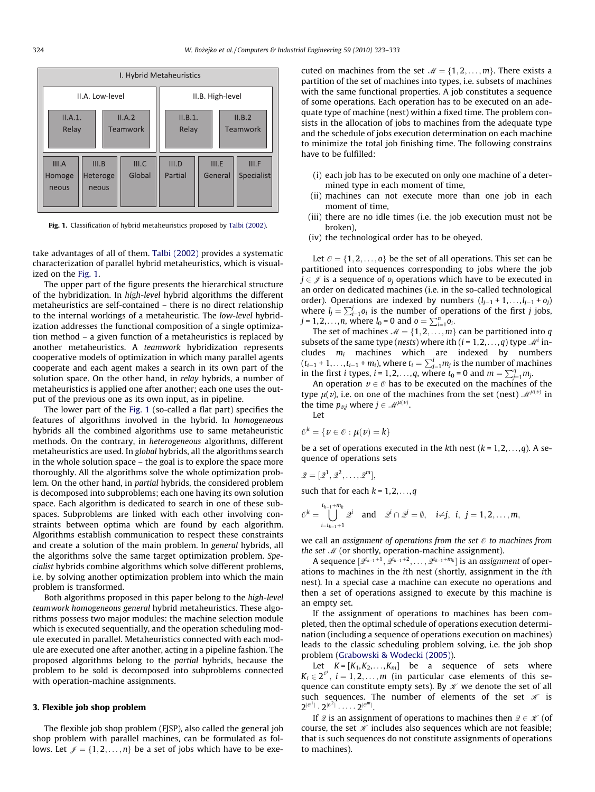

Fig. 1. Classification of hybrid metaheuristics proposed by Talbi (2002).

take advantages of all of them. Talbi (2002) provides a systematic characterization of parallel hybrid metaheuristics, which is visualized on the Fig. 1.

The upper part of the figure presents the hierarchical structure of the hybridization. In high-level hybrid algorithms the different metaheuristics are self-contained – there is no direct relationship to the internal workings of a metaheuristic. The low-level hybridization addresses the functional composition of a single optimization method – a given function of a metaheuristics is replaced by another metaheuristics. A teamwork hybridization represents cooperative models of optimization in which many parallel agents cooperate and each agent makes a search in its own part of the solution space. On the other hand, in relay hybrids, a number of metaheuristics is applied one after another; each one uses the output of the previous one as its own input, as in pipeline.

The lower part of the Fig. 1 (so-called a flat part) specifies the features of algorithms involved in the hybrid. In homogeneous hybrids all the combined algorithms use to same metaheuristic methods. On the contrary, in heterogeneous algorithms, different metaheuristics are used. In global hybrids, all the algorithms search in the whole solution space – the goal is to explore the space more thoroughly. All the algorithms solve the whole optimization problem. On the other hand, in partial hybrids, the considered problem is decomposed into subproblems; each one having its own solution space. Each algorithm is dedicated to search in one of these subspaces. Subproblems are linked with each other involving constraints between optima which are found by each algorithm. Algorithms establish communication to respect these constraints and create a solution of the main problem. In general hybrids, all the algorithms solve the same target optimization problem. Specialist hybrids combine algorithms which solve different problems, i.e. by solving another optimization problem into which the main problem is transformed.

Both algorithms proposed in this paper belong to the high-level teamwork homogeneous general hybrid metaheuristics. These algorithms possess two major modules: the machine selection module which is executed sequentially, and the operation scheduling module executed in parallel. Metaheuristics connected with each module are executed one after another, acting in a pipeline fashion. The proposed algorithms belong to the partial hybrids, because the problem to be sold is decomposed into subproblems connected with operation-machine assignments.

#### 3. Flexible job shop problem

The flexible job shop problem (FJSP), also called the general job shop problem with parallel machines, can be formulated as follows. Let  $\mathcal{J} = \{1, 2, ..., n\}$  be a set of jobs which have to be executed on machines from the set  $M = \{1, 2, \ldots, m\}$ . There exists a partition of the set of machines into types, i.e. subsets of machines with the same functional properties. A job constitutes a sequence of some operations. Each operation has to be executed on an adequate type of machine (nest) within a fixed time. The problem consists in the allocation of jobs to machines from the adequate type and the schedule of jobs execution determination on each machine to minimize the total job finishing time. The following constrains have to be fulfilled:

- (i) each job has to be executed on only one machine of a determined type in each moment of time,
- (ii) machines can not execute more than one job in each moment of time,
- (iii) there are no idle times (i.e. the job execution must not be broken),
- (iv) the technological order has to be obeyed.

Let  $\mathcal{O} = \{1, 2, \ldots, 0\}$  be the set of all operations. This set can be partitioned into sequences corresponding to jobs where the job  $j \in \mathcal{J}$  is a sequence of  $o_i$  operations which have to be executed in an order on dedicated machines (i.e. in the so-called technological order). Operations are indexed by numbers  $(l_{j-1} + 1, \ldots, l_{j-1} + o_j)$ where  $l_j = \sum_{i=1}^j o_i$  is the number of operations of the first j jobs,  $j = 1, 2, ..., n$ , where  $l_0 = 0$  and  $o = \sum_{i=1}^{n} o_i$ .

The set of machines  $M = \{1, 2, ..., m\}$  can be partitioned into q subsets of the same type (nests) where ith  $(i = 1, 2, \ldots, q)$  type  $\mathcal{M}^{i}$  includes  $m_i$  machines which are indexed by numbers  $(t_{i-1} + 1, \ldots, t_{i-1} + m_i)$ , where  $t_i = \sum_{j=1}^i m_j$  is the number of machines in the first *i* types, *i* = 1,2,...,*q*, where  $t_0 = 0$  and  $m = \sum_{j=1}^{q} m_j$ .

An operation  $v \in \mathcal{O}$  has to be executed on the machines of the type  $\mu(v)$ , i.e. on one of the machines from the set (nest)  $\mathcal{M}^{\mu(v)}$  in the time  $p_{vj}$  where  $j \in \mathcal{M}^{\mu(v)}$ .

Let

$$
\mathcal{O}^k = \{v \in \mathcal{O} : \mu(v) = k\}
$$

be a set of operations executed in the kth nest  $(k = 1, 2, \ldots, q)$ . A sequence of operations sets

$$
\mathcal{Q}=[\mathcal{Q}^1,\mathcal{Q}^2,\ldots,\mathcal{Q}^m],
$$

such that for each  $k = 1, 2, \ldots, q$ 

$$
\mathcal{O}^k=\bigcup_{i=t_{k-1}+1}^{t_{k-1}+m_k}\mathcal{Q}^i\quad\text{and}\quad\mathcal{Q}^i\cap\mathcal{Q}^j=\emptyset,\quad i\neq j,\ i,\ j=1,2,\ldots,m,
$$

we call an assignment of operations from the set  $\varnothing$  to machines from the set  $M$  (or shortly, operation-machine assignment).

A sequence  $[\mathscr{Q}^{t_{k-1}+1}, \mathscr{Q}^{t_{k-1}+2}, \ldots, \mathscr{Q}^{t_{k-1}+m_k}]$  is an assignment of operations to machines in the ith nest (shortly, assignment in the ith nest). In a special case a machine can execute no operations and then a set of operations assigned to execute by this machine is an empty set.

If the assignment of operations to machines has been completed, then the optimal schedule of operations execution determination (including a sequence of operations execution on machines) leads to the classic scheduling problem solving, i.e. the job shop problem [\(Grabowski & Wodecki \(2005\)](#page--1-0)).

Let  $K = [K_1, K_2, \ldots, K_m]$  be a sequence of sets where  $K_i \in 2^{\mathcal{O}^i}$ ,  $i = 1, 2, ..., m$  (in particular case elements of this sequence can constitute empty sets). By  $\mathcal K$  we denote the set of all such sequences. The number of elements of the set  $\mathcal K$  is  $2^{|{\mathcal{O}}^1|}\cdot 2^{|{\mathcal{O}}^2|}\cdot \cdots \cdot 2^{|{\mathcal{O}}^m|}$ .

If  $\mathcal Q$  is an assignment of operations to machines then  $\mathcal Q \in \mathcal K$  (of course, the set  $K$  includes also sequences which are not feasible; that is such sequences do not constitute assignments of operations to machines).